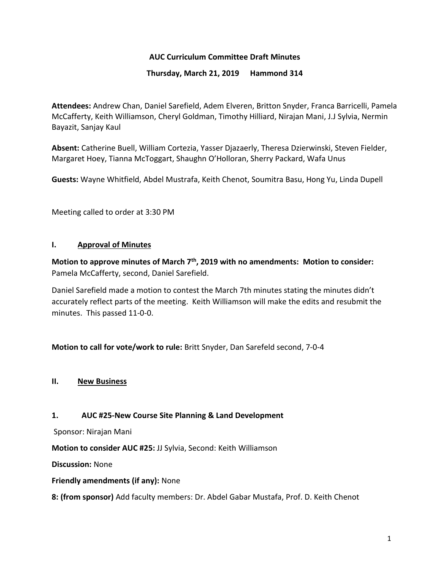# **AUC Curriculum Committee Draft Minutes**

### **Thursday, March 21, 2019 Hammond 314**

**Attendees:** Andrew Chan, Daniel Sarefield, Adem Elveren, Britton Snyder, Franca Barricelli, Pamela McCafferty, Keith Williamson, Cheryl Goldman, Timothy Hilliard, Nirajan Mani, J.J Sylvia, Nermin Bayazit, Sanjay Kaul

**Absent:** Catherine Buell, William Cortezia, Yasser Djazaerly, Theresa Dzierwinski, Steven Fielder, Margaret Hoey, Tianna McToggart, Shaughn O'Holloran, Sherry Packard, Wafa Unus

**Guests:** Wayne Whitfield, Abdel Mustrafa, Keith Chenot, Soumitra Basu, Hong Yu, Linda Dupell

Meeting called to order at 3:30 PM

### **I. Approval of Minutes**

**Motion to approve minutes of March 7th, 2019 with no amendments: Motion to consider:**  Pamela McCafferty, second, Daniel Sarefield.

Daniel Sarefield made a motion to contest the March 7th minutes stating the minutes didn't accurately reflect parts of the meeting. Keith Williamson will make the edits and resubmit the minutes. This passed 11-0-0.

**Motion to call for vote/work to rule:** Britt Snyder, Dan Sarefeld second, 7-0-4

## **II. New Business**

### **1. AUC #25-New Course Site Planning & Land Development**

Sponsor: Nirajan Mani

**Motion to consider AUC #25:** JJ Sylvia, Second: Keith Williamson

**Discussion:** None

**Friendly amendments (if any):** None

**8: (from sponsor)** Add faculty members: Dr. Abdel Gabar Mustafa, Prof. D. Keith Chenot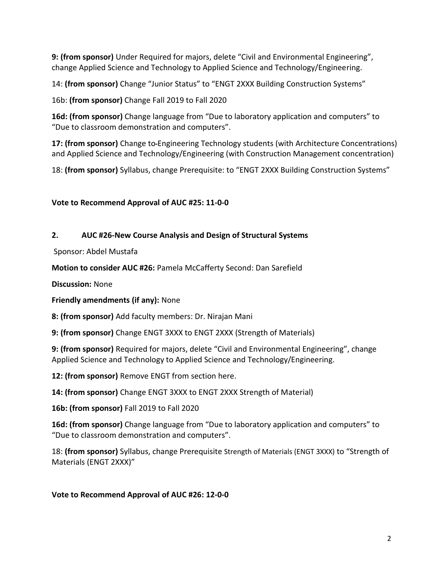**9: (from sponsor)** Under Required for majors, delete "Civil and Environmental Engineering", change Applied Science and Technology to Applied Science and Technology/Engineering.

14: **(from sponsor)** Change "Junior Status" to "ENGT 2XXX Building Construction Systems"

16b: **(from sponsor)** Change Fall 2019 to Fall 2020

**16d: (from sponsor)** Change language from "Due to laboratory application and computers" to "Due to classroom demonstration and computers".

**17: (from sponsor)** Change to Engineering Technology students (with Architecture Concentrations) and Applied Science and Technology/Engineering (with Construction Management concentration)

18: **(from sponsor)** Syllabus, change Prerequisite: to "ENGT 2XXX Building Construction Systems"

# **Vote to Recommend Approval of AUC #25: 11-0-0**

# **2. AUC #26-New Course Analysis and Design of Structural Systems**

Sponsor: Abdel Mustafa

**Motion to consider AUC #26:** Pamela McCafferty Second: Dan Sarefield

**Discussion:** None

**Friendly amendments (if any):** None

**8: (from sponsor)** Add faculty members: Dr. Nirajan Mani

**9: (from sponsor)** Change ENGT 3XXX to ENGT 2XXX (Strength of Materials)

**9: (from sponsor)** Required for majors, delete "Civil and Environmental Engineering", change Applied Science and Technology to Applied Science and Technology/Engineering.

**12: (from sponsor)** Remove ENGT from section here.

**14: (from sponsor)** Change ENGT 3XXX to ENGT 2XXX Strength of Material)

**16b: (from sponsor)** Fall 2019 to Fall 2020

**16d: (from sponsor)** Change language from "Due to laboratory application and computers" to "Due to classroom demonstration and computers".

18: **(from sponsor)** Syllabus, change Prerequisite Strength of Materials (ENGT 3XXX) to "Strength of Materials (ENGT 2XXX)"

## **Vote to Recommend Approval of AUC #26: 12-0-0**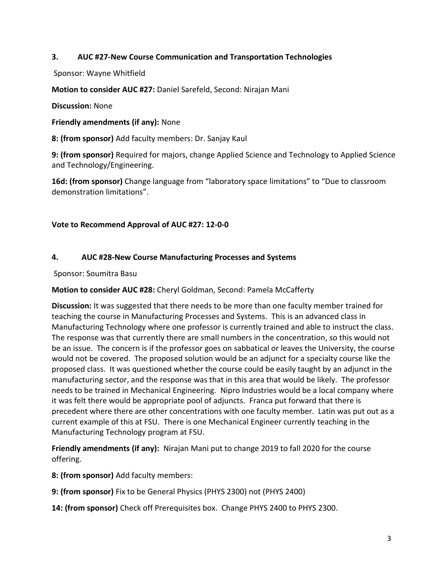# **3. AUC #27-New Course Communication and Transportation Technologies**

Sponsor: Wayne Whitfield

**Motion to consider AUC #27:** Daniel Sarefeld, Second: Nirajan Mani

**Discussion:** None

**Friendly amendments (if any):** None

**8: (from sponsor)** Add faculty members: Dr. Sanjay Kaul

**9: (from sponsor)** Required for majors, change Applied Science and Technology to Applied Science and Technology/Engineering.

**16d: (from sponsor)** Change language from "laboratory space limitations" to "Due to classroom demonstration limitations".

## **Vote to Recommend Approval of AUC #27: 12-0-0**

## **4. AUC #28-New Course Manufacturing Processes and Systems**

Sponsor: Soumitra Basu

**Motion to consider AUC #28:** Cheryl Goldman, Second: Pamela McCafferty

**Discussion:** It was suggested that there needs to be more than one faculty member trained for teaching the course in Manufacturing Processes and Systems.This is an advanced class in Manufacturing Technology where one professor is currently trained and able to instruct the class. The response was that currently there are small numbers in the concentration, so this would not be an issue. The concern is if the professor goes on sabbatical or leaves the University, the course would not be covered. The proposed solution would be an adjunct for a specialty course like the proposed class. It was questioned whether the course could be easily taught by an adjunct in the manufacturing sector, and the response was that in this area that would be likely. The professor needs to be trained in Mechanical Engineering. Nipro Industries would be a local company where it was felt there would be appropriate pool of adjuncts. Franca put forward that there is precedent where there are other concentrations with one faculty member. Latin was put out as a current example of this at FSU. There is one Mechanical Engineer currently teaching in the Manufacturing Technology program at FSU.

**Friendly amendments (if any):** Nirajan Mani put to change 2019 to fall 2020 for the course offering.

**8: (from sponsor)** Add faculty members:

**9: (from sponsor)** Fix to be General Physics (PHYS 2300) not (PHYS 2400)

**14: (from sponsor)** Check off Prerequisites box. Change PHYS 2400 to PHYS 2300.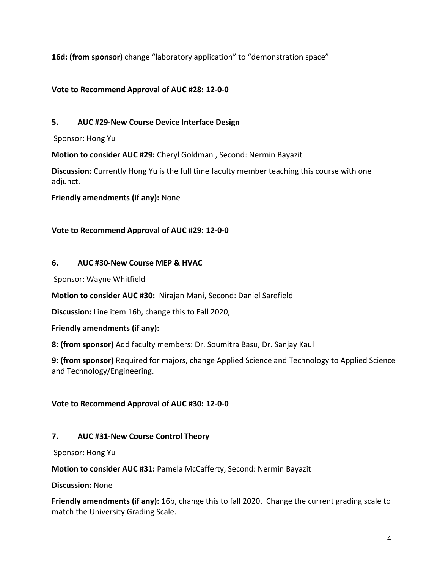**16d: (from sponsor)** change "laboratory application" to "demonstration space"

# **Vote to Recommend Approval of AUC #28: 12-0-0**

# **5. AUC #29-New Course Device Interface Design**

Sponsor: Hong Yu

**Motion to consider AUC #29:** Cheryl Goldman , Second: Nermin Bayazit

**Discussion:** Currently Hong Yu is the full time faculty member teaching this course with one adjunct.

**Friendly amendments (if any):** None

## **Vote to Recommend Approval of AUC #29: 12-0-0**

## **6. AUC #30-New Course MEP & HVAC**

Sponsor: Wayne Whitfield

**Motion to consider AUC #30:** Nirajan Mani, Second: Daniel Sarefield

**Discussion:** Line item 16b, change this to Fall 2020,

## **Friendly amendments (if any):**

**8: (from sponsor)** Add faculty members: Dr. Soumitra Basu, Dr. Sanjay Kaul

**9: (from sponsor)** Required for majors, change Applied Science and Technology to Applied Science and Technology/Engineering.

# **Vote to Recommend Approval of AUC #30: 12-0-0**

# **7. AUC #31-New Course Control Theory**

Sponsor: Hong Yu

**Motion to consider AUC #31:** Pamela McCafferty, Second: Nermin Bayazit

## **Discussion:** None

**Friendly amendments (if any):** 16b, change this to fall 2020. Change the current grading scale to match the University Grading Scale.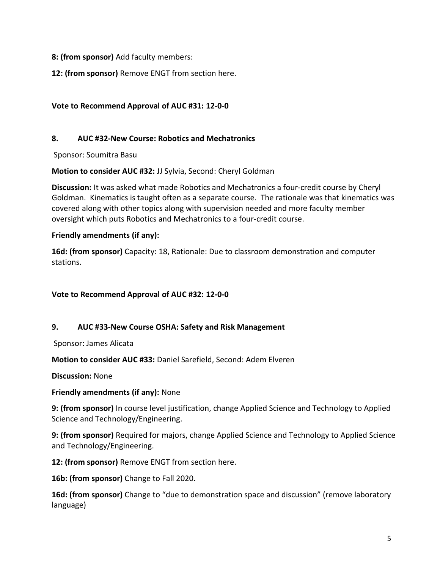## **8: (from sponsor)** Add faculty members:

**12: (from sponsor)** Remove ENGT from section here.

# **Vote to Recommend Approval of AUC #31: 12-0-0**

# **8. AUC #32-New Course: Robotics and Mechatronics**

Sponsor: Soumitra Basu

**Motion to consider AUC #32:** JJ Sylvia, Second: Cheryl Goldman

**Discussion:** It was asked what made Robotics and Mechatronics a four-credit course by Cheryl Goldman. Kinematics is taught often as a separate course. The rationale was that kinematics was covered along with other topics along with supervision needed and more faculty member oversight which puts Robotics and Mechatronics to a four-credit course.

## **Friendly amendments (if any):**

**16d: (from sponsor)** Capacity: 18, Rationale: Due to classroom demonstration and computer stations.

## **Vote to Recommend Approval of AUC #32: 12-0-0**

## **9. AUC #33-New Course OSHA: Safety and Risk Management**

Sponsor: James Alicata

**Motion to consider AUC #33:** Daniel Sarefield, Second: Adem Elveren

**Discussion:** None

## **Friendly amendments (if any):** None

**9: (from sponsor)** In course level justification, change Applied Science and Technology to Applied Science and Technology/Engineering.

**9: (from sponsor)** Required for majors, change Applied Science and Technology to Applied Science and Technology/Engineering.

**12: (from sponsor)** Remove ENGT from section here.

**16b: (from sponsor)** Change to Fall 2020.

**16d: (from sponsor)** Change to "due to demonstration space and discussion" (remove laboratory language)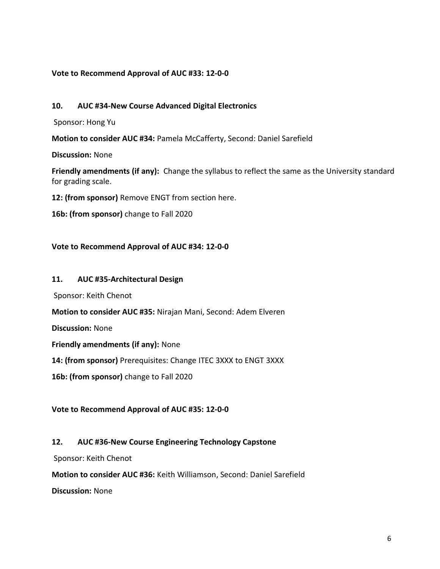### **Vote to Recommend Approval of AUC #33: 12-0-0**

### **10. AUC #34-New Course Advanced Digital Electronics**

Sponsor: Hong Yu

**Motion to consider AUC #34:** Pamela McCafferty, Second: Daniel Sarefield

**Discussion:** None

**Friendly amendments (if any):** Change the syllabus to reflect the same as the University standard for grading scale.

**12: (from sponsor)** Remove ENGT from section here.

**16b: (from sponsor)** change to Fall 2020

### **Vote to Recommend Approval of AUC #34: 12-0-0**

#### **11. AUC #35-Architectural Design**

Sponsor: Keith Chenot

**Motion to consider AUC #35:** Nirajan Mani, Second: Adem Elveren

**Discussion:** None

**Friendly amendments (if any):** None

**14: (from sponsor)** Prerequisites: Change ITEC 3XXX to ENGT 3XXX

**16b: (from sponsor)** change to Fall 2020

### **Vote to Recommend Approval of AUC #35: 12-0-0**

### **12. AUC #36-New Course Engineering Technology Capstone**

Sponsor: Keith Chenot

**Motion to consider AUC #36:** Keith Williamson, Second: Daniel Sarefield

**Discussion:** None